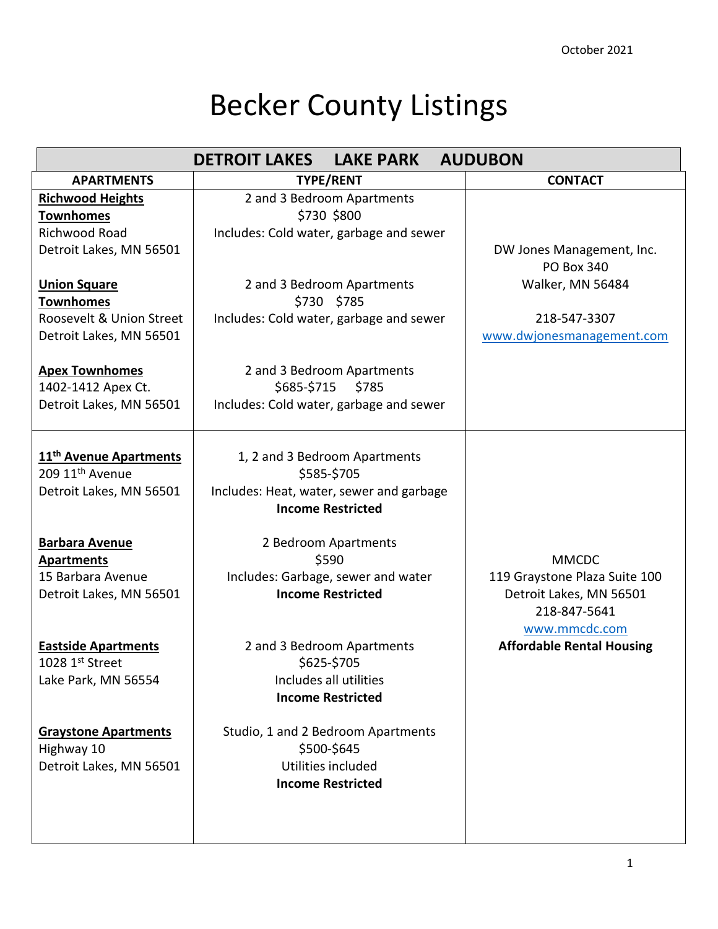## Becker County Listings

|                                              | <b>DETROIT LAKES</b>                     | <b>LAKE PARK</b>                   | <b>AUDUBON</b>                   |
|----------------------------------------------|------------------------------------------|------------------------------------|----------------------------------|
| <b>APARTMENTS</b>                            |                                          | <b>TYPE/RENT</b>                   | <b>CONTACT</b>                   |
| <b>Richwood Heights</b>                      |                                          | 2 and 3 Bedroom Apartments         |                                  |
| <b>Townhomes</b>                             |                                          | \$730 \$800                        |                                  |
| <b>Richwood Road</b>                         | Includes: Cold water, garbage and sewer  |                                    |                                  |
| Detroit Lakes, MN 56501                      |                                          |                                    | DW Jones Management, Inc.        |
|                                              |                                          |                                    | <b>PO Box 340</b>                |
| <b>Union Square</b>                          |                                          | 2 and 3 Bedroom Apartments         | Walker, MN 56484                 |
| <b>Townhomes</b><br>Roosevelt & Union Street |                                          | \$730 \$785                        | 218-547-3307                     |
| Detroit Lakes, MN 56501                      | Includes: Cold water, garbage and sewer  |                                    | www.dwjonesmanagement.com        |
|                                              |                                          |                                    |                                  |
| <b>Apex Townhomes</b>                        |                                          | 2 and 3 Bedroom Apartments         |                                  |
| 1402-1412 Apex Ct.                           |                                          | \$685-\$715 \$785                  |                                  |
| Detroit Lakes, MN 56501                      | Includes: Cold water, garbage and sewer  |                                    |                                  |
|                                              |                                          |                                    |                                  |
|                                              |                                          |                                    |                                  |
| 11 <sup>th</sup> Avenue Apartments           |                                          | 1, 2 and 3 Bedroom Apartments      |                                  |
| 209 11 <sup>th</sup> Avenue                  |                                          | \$585-\$705                        |                                  |
| Detroit Lakes, MN 56501                      | Includes: Heat, water, sewer and garbage | <b>Income Restricted</b>           |                                  |
|                                              |                                          |                                    |                                  |
| <b>Barbara Avenue</b>                        |                                          | 2 Bedroom Apartments               |                                  |
| <b>Apartments</b>                            |                                          | \$590                              | <b>MMCDC</b>                     |
| 15 Barbara Avenue                            |                                          | Includes: Garbage, sewer and water | 119 Graystone Plaza Suite 100    |
| Detroit Lakes, MN 56501                      |                                          | <b>Income Restricted</b>           | Detroit Lakes, MN 56501          |
|                                              |                                          |                                    | 218-847-5641                     |
|                                              |                                          |                                    | www.mmcdc.com                    |
| <b>Eastside Apartments</b>                   |                                          | 2 and 3 Bedroom Apartments         | <b>Affordable Rental Housing</b> |
| 1028 $1st$ Street                            |                                          | \$625-\$705                        |                                  |
| Lake Park, MN 56554                          |                                          | Includes all utilities             |                                  |
|                                              |                                          | <b>Income Restricted</b>           |                                  |
| <b>Graystone Apartments</b>                  |                                          | Studio, 1 and 2 Bedroom Apartments |                                  |
| Highway 10                                   |                                          | \$500-\$645                        |                                  |
| Detroit Lakes, MN 56501                      |                                          | Utilities included                 |                                  |
|                                              |                                          | <b>Income Restricted</b>           |                                  |
|                                              |                                          |                                    |                                  |
|                                              |                                          |                                    |                                  |
|                                              |                                          |                                    |                                  |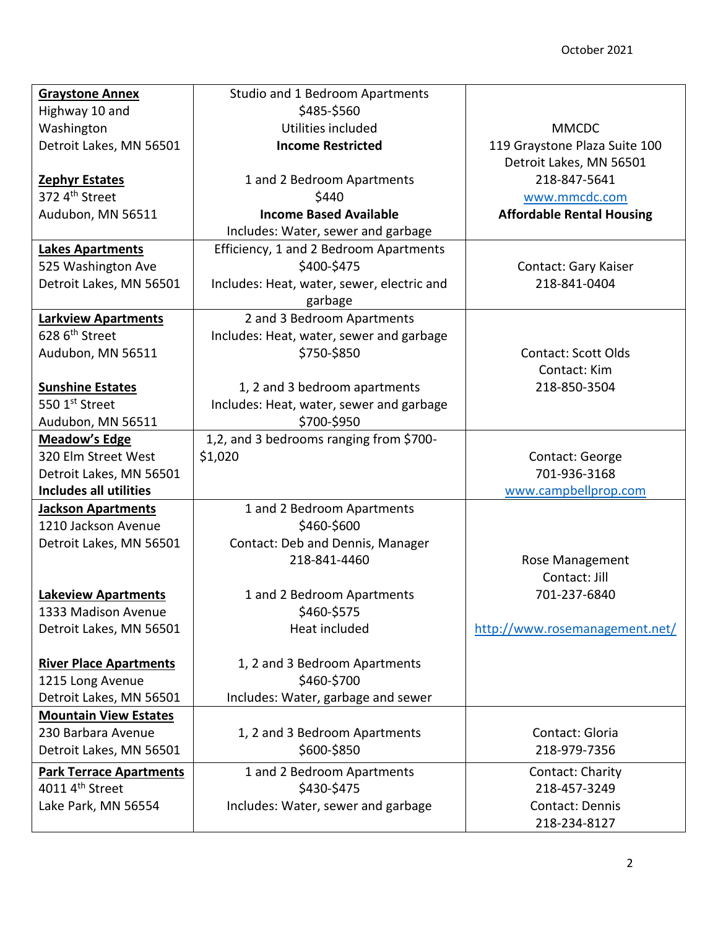| <b>Graystone Annex</b>         | Studio and 1 Bedroom Apartments            |                                  |
|--------------------------------|--------------------------------------------|----------------------------------|
| Highway 10 and                 | \$485-\$560                                |                                  |
| Washington                     | Utilities included                         | <b>MMCDC</b>                     |
| Detroit Lakes, MN 56501        | <b>Income Restricted</b>                   | 119 Graystone Plaza Suite 100    |
|                                |                                            | Detroit Lakes, MN 56501          |
| <b>Zephyr Estates</b>          | 1 and 2 Bedroom Apartments                 | 218-847-5641                     |
| 372 4th Street                 | \$440                                      | www.mmcdc.com                    |
| Audubon, MN 56511              | <b>Income Based Available</b>              | <b>Affordable Rental Housing</b> |
|                                | Includes: Water, sewer and garbage         |                                  |
| <b>Lakes Apartments</b>        | Efficiency, 1 and 2 Bedroom Apartments     |                                  |
| 525 Washington Ave             | \$400-\$475                                | Contact: Gary Kaiser             |
| Detroit Lakes, MN 56501        | Includes: Heat, water, sewer, electric and | 218-841-0404                     |
|                                | garbage                                    |                                  |
| <b>Larkview Apartments</b>     | 2 and 3 Bedroom Apartments                 |                                  |
| 628 6 <sup>th</sup> Street     | Includes: Heat, water, sewer and garbage   |                                  |
| Audubon, MN 56511              | \$750-\$850                                | <b>Contact: Scott Olds</b>       |
|                                |                                            | Contact: Kim                     |
| <b>Sunshine Estates</b>        | 1, 2 and 3 bedroom apartments              | 218-850-3504                     |
| 550 1st Street                 | Includes: Heat, water, sewer and garbage   |                                  |
| Audubon, MN 56511              | \$700-\$950                                |                                  |
| <b>Meadow's Edge</b>           | 1,2, and 3 bedrooms ranging from \$700-    |                                  |
| 320 Elm Street West            | \$1,020                                    | Contact: George                  |
| Detroit Lakes, MN 56501        |                                            | 701-936-3168                     |
| <b>Includes all utilities</b>  |                                            | www.campbellprop.com             |
| <b>Jackson Apartments</b>      | 1 and 2 Bedroom Apartments                 |                                  |
| 1210 Jackson Avenue            | \$460-\$600                                |                                  |
| Detroit Lakes, MN 56501        | Contact: Deb and Dennis, Manager           |                                  |
|                                | 218-841-4460                               | Rose Management                  |
|                                |                                            | Contact: Jill                    |
| <b>Lakeview Apartments</b>     | 1 and 2 Bedroom Apartments                 | 701-237-6840                     |
| 1333 Madison Avenue            | \$460-\$575                                |                                  |
| Detroit Lakes, MN 56501        | Heat included                              | http://www.rosemanagement.net/   |
|                                |                                            |                                  |
| <b>River Place Apartments</b>  | 1, 2 and 3 Bedroom Apartments              |                                  |
| 1215 Long Avenue               | \$460-\$700                                |                                  |
| Detroit Lakes, MN 56501        | Includes: Water, garbage and sewer         |                                  |
| <b>Mountain View Estates</b>   |                                            |                                  |
| 230 Barbara Avenue             | 1, 2 and 3 Bedroom Apartments              | Contact: Gloria                  |
| Detroit Lakes, MN 56501        | \$600-\$850                                | 218-979-7356                     |
| <b>Park Terrace Apartments</b> | 1 and 2 Bedroom Apartments                 | Contact: Charity                 |
| 4011 4 <sup>th</sup> Street    | \$430-\$475                                | 218-457-3249                     |
| Lake Park, MN 56554            | Includes: Water, sewer and garbage         | Contact: Dennis                  |
|                                |                                            | 218-234-8127                     |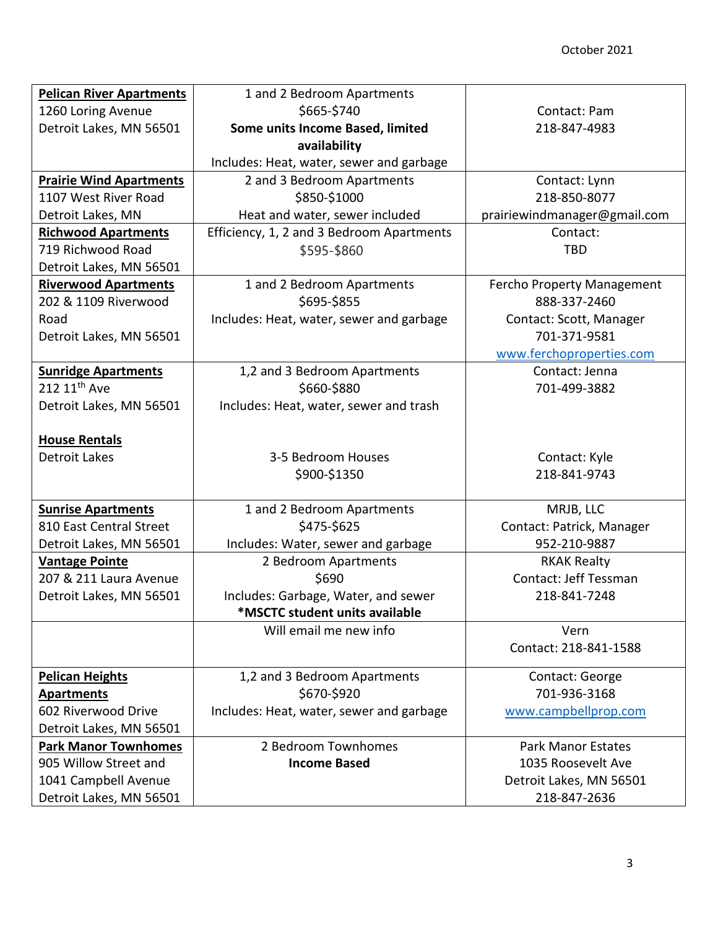| <b>Pelican River Apartments</b> | 1 and 2 Bedroom Apartments                |                              |
|---------------------------------|-------------------------------------------|------------------------------|
| 1260 Loring Avenue              | \$665-\$740                               | Contact: Pam                 |
| Detroit Lakes, MN 56501         | Some units Income Based, limited          | 218-847-4983                 |
|                                 | availability                              |                              |
|                                 | Includes: Heat, water, sewer and garbage  |                              |
| <b>Prairie Wind Apartments</b>  | 2 and 3 Bedroom Apartments                | Contact: Lynn                |
| 1107 West River Road            | \$850-\$1000                              | 218-850-8077                 |
| Detroit Lakes, MN               | Heat and water, sewer included            | prairiewindmanager@gmail.com |
| <b>Richwood Apartments</b>      | Efficiency, 1, 2 and 3 Bedroom Apartments | Contact:                     |
| 719 Richwood Road               | \$595-\$860                               | <b>TBD</b>                   |
| Detroit Lakes, MN 56501         |                                           |                              |
| <b>Riverwood Apartments</b>     | 1 and 2 Bedroom Apartments                | Fercho Property Management   |
| 202 & 1109 Riverwood            | \$695-\$855                               | 888-337-2460                 |
| Road                            | Includes: Heat, water, sewer and garbage  | Contact: Scott, Manager      |
| Detroit Lakes, MN 56501         |                                           | 701-371-9581                 |
|                                 |                                           | www.ferchoproperties.com     |
| <b>Sunridge Apartments</b>      | 1,2 and 3 Bedroom Apartments              | Contact: Jenna               |
| 212 11 <sup>th</sup> Ave        | \$660-\$880                               | 701-499-3882                 |
| Detroit Lakes, MN 56501         | Includes: Heat, water, sewer and trash    |                              |
|                                 |                                           |                              |
| <b>House Rentals</b>            |                                           |                              |
| <b>Detroit Lakes</b>            | 3-5 Bedroom Houses                        | Contact: Kyle                |
|                                 | \$900-\$1350                              | 218-841-9743                 |
|                                 |                                           |                              |
| <b>Sunrise Apartments</b>       | 1 and 2 Bedroom Apartments                | MRJB, LLC                    |
| 810 East Central Street         | \$475-\$625                               | Contact: Patrick, Manager    |
| Detroit Lakes, MN 56501         | Includes: Water, sewer and garbage        | 952-210-9887                 |
| <b>Vantage Pointe</b>           | 2 Bedroom Apartments                      | <b>RKAK Realty</b>           |
| 207 & 211 Laura Avenue          | \$690                                     | Contact: Jeff Tessman        |
| Detroit Lakes, MN 56501         | Includes: Garbage, Water, and sewer       | 218-841-7248                 |
|                                 | *MSCTC student units available            |                              |
|                                 | Will email me new info                    | Vern                         |
|                                 |                                           | Contact: 218-841-1588        |
| <b>Pelican Heights</b>          | 1,2 and 3 Bedroom Apartments              | Contact: George              |
| <b>Apartments</b>               | \$670-\$920                               | 701-936-3168                 |
| 602 Riverwood Drive             | Includes: Heat, water, sewer and garbage  | www.campbellprop.com         |
| Detroit Lakes, MN 56501         |                                           |                              |
| <b>Park Manor Townhomes</b>     | 2 Bedroom Townhomes                       | <b>Park Manor Estates</b>    |
| 905 Willow Street and           | <b>Income Based</b>                       | 1035 Roosevelt Ave           |
| 1041 Campbell Avenue            |                                           | Detroit Lakes, MN 56501      |
| Detroit Lakes, MN 56501         |                                           | 218-847-2636                 |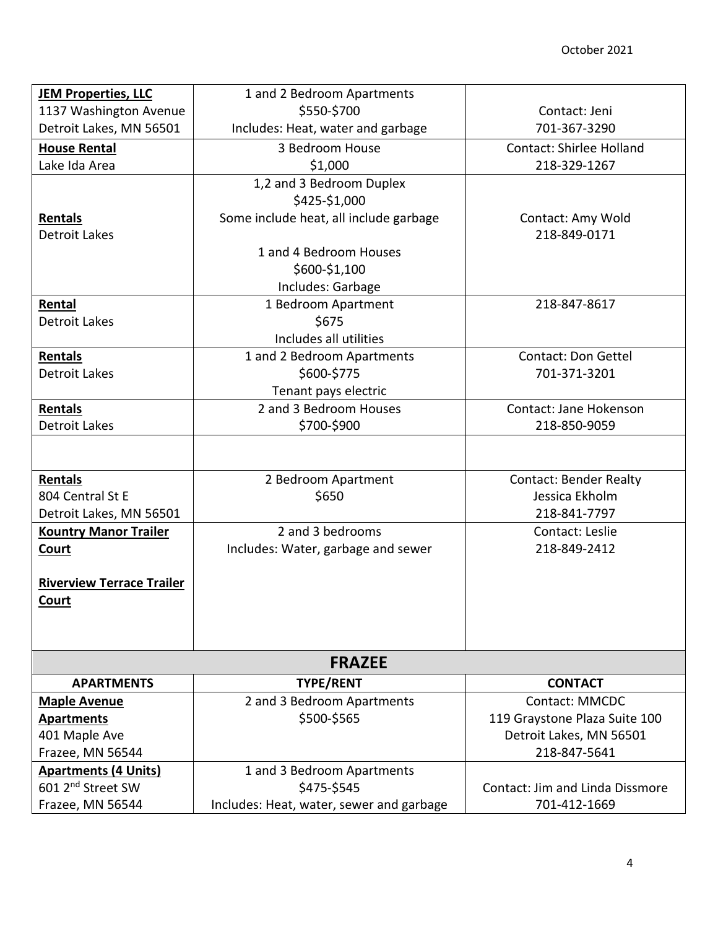| <b>JEM Properties, LLC</b>       | 1 and 2 Bedroom Apartments                |                                 |  |
|----------------------------------|-------------------------------------------|---------------------------------|--|
| 1137 Washington Avenue           | \$550-\$700                               | Contact: Jeni                   |  |
| Detroit Lakes, MN 56501          | Includes: Heat, water and garbage         | 701-367-3290                    |  |
| <b>House Rental</b>              | 3 Bedroom House                           | <b>Contact: Shirlee Holland</b> |  |
| Lake Ida Area                    | \$1,000                                   | 218-329-1267                    |  |
|                                  | 1,2 and 3 Bedroom Duplex<br>\$425-\$1,000 |                                 |  |
| Rentals                          | Some include heat, all include garbage    | Contact: Amy Wold               |  |
| Detroit Lakes                    |                                           | 218-849-0171                    |  |
|                                  | 1 and 4 Bedroom Houses                    |                                 |  |
|                                  | \$600-\$1,100                             |                                 |  |
|                                  | Includes: Garbage                         |                                 |  |
| Rental                           | 1 Bedroom Apartment                       | 218-847-8617                    |  |
| <b>Detroit Lakes</b>             | \$675                                     |                                 |  |
|                                  | Includes all utilities                    |                                 |  |
| Rentals                          | 1 and 2 Bedroom Apartments                | <b>Contact: Don Gettel</b>      |  |
| <b>Detroit Lakes</b>             | \$600-\$775                               | 701-371-3201                    |  |
|                                  | Tenant pays electric                      |                                 |  |
| Rentals                          | 2 and 3 Bedroom Houses                    | Contact: Jane Hokenson          |  |
| Detroit Lakes                    | \$700-\$900                               | 218-850-9059                    |  |
|                                  |                                           |                                 |  |
| Rentals                          | 2 Bedroom Apartment                       | <b>Contact: Bender Realty</b>   |  |
| 804 Central St E                 | \$650                                     | Jessica Ekholm                  |  |
| Detroit Lakes, MN 56501          |                                           | 218-841-7797                    |  |
| <b>Kountry Manor Trailer</b>     | 2 and 3 bedrooms                          | Contact: Leslie                 |  |
| <b>Court</b>                     | Includes: Water, garbage and sewer        | 218-849-2412                    |  |
|                                  |                                           |                                 |  |
| <b>Riverview Terrace Trailer</b> |                                           |                                 |  |
| <b>Court</b>                     |                                           |                                 |  |
|                                  |                                           |                                 |  |
|                                  |                                           |                                 |  |
| <b>FRAZEE</b>                    |                                           |                                 |  |
| <b>APARTMENTS</b>                | <b>TYPE/RENT</b>                          | <b>CONTACT</b>                  |  |
| <b>Maple Avenue</b>              | 2 and 3 Bedroom Apartments                | <b>Contact: MMCDC</b>           |  |
| <b>Apartments</b>                | \$500-\$565                               | 119 Graystone Plaza Suite 100   |  |
| 401 Maple Ave                    |                                           | Detroit Lakes, MN 56501         |  |
| Frazee, MN 56544                 |                                           | 218-847-5641                    |  |
| <b>Apartments (4 Units)</b>      | 1 and 3 Bedroom Apartments                |                                 |  |
| 601 2 <sup>nd</sup> Street SW    | \$475-\$545                               | Contact: Jim and Linda Dissmore |  |
| Frazee, MN 56544                 | Includes: Heat, water, sewer and garbage  | 701-412-1669                    |  |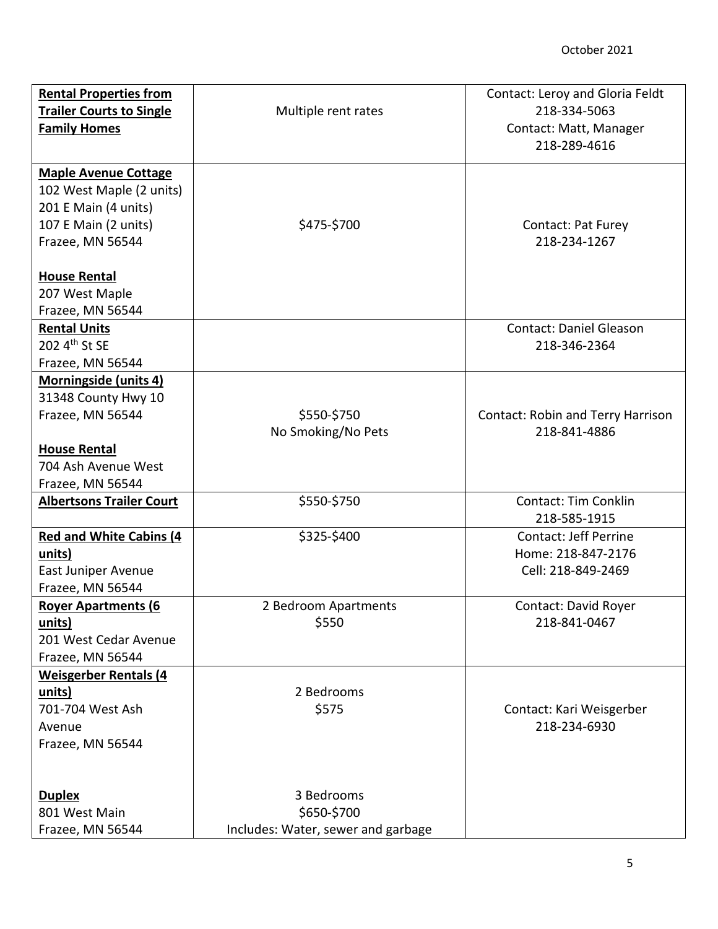| <b>Rental Properties from</b><br><b>Trailer Courts to Single</b><br><b>Family Homes</b>                                                            | Multiple rent rates                                             | Contact: Leroy and Gloria Feldt<br>218-334-5063<br>Contact: Matt, Manager<br>218-289-4616 |
|----------------------------------------------------------------------------------------------------------------------------------------------------|-----------------------------------------------------------------|-------------------------------------------------------------------------------------------|
| <b>Maple Avenue Cottage</b><br>102 West Maple (2 units)<br>201 E Main (4 units)<br>107 E Main (2 units)<br>Frazee, MN 56544<br><b>House Rental</b> | \$475-\$700                                                     | Contact: Pat Furey<br>218-234-1267                                                        |
| 207 West Maple<br>Frazee, MN 56544<br><b>Rental Units</b>                                                                                          |                                                                 | <b>Contact: Daniel Gleason</b>                                                            |
| 202 4th St SE<br>Frazee, MN 56544                                                                                                                  |                                                                 | 218-346-2364                                                                              |
| Morningside (units 4)<br>31348 County Hwy 10<br>Frazee, MN 56544                                                                                   | \$550-\$750<br>No Smoking/No Pets                               | <b>Contact: Robin and Terry Harrison</b><br>218-841-4886                                  |
| <b>House Rental</b><br>704 Ash Avenue West<br>Frazee, MN 56544                                                                                     |                                                                 |                                                                                           |
| <b>Albertsons Trailer Court</b>                                                                                                                    | \$550-\$750                                                     | <b>Contact: Tim Conklin</b><br>218-585-1915                                               |
| Red and White Cabins (4<br>units)<br>East Juniper Avenue<br>Frazee, MN 56544                                                                       | \$325-\$400                                                     | <b>Contact: Jeff Perrine</b><br>Home: 218-847-2176<br>Cell: 218-849-2469                  |
| <b>Rover Apartments (6)</b><br>units)<br>201 West Cedar Avenue<br>Frazee, MN 56544                                                                 | 2 Bedroom Apartments<br>\$550                                   | Contact: David Royer<br>218-841-0467                                                      |
| <b>Weisgerber Rentals (4)</b><br>units)<br>701-704 West Ash<br>Avenue<br>Frazee, MN 56544                                                          | 2 Bedrooms<br>\$575                                             | Contact: Kari Weisgerber<br>218-234-6930                                                  |
| <b>Duplex</b><br>801 West Main<br>Frazee, MN 56544                                                                                                 | 3 Bedrooms<br>\$650-\$700<br>Includes: Water, sewer and garbage |                                                                                           |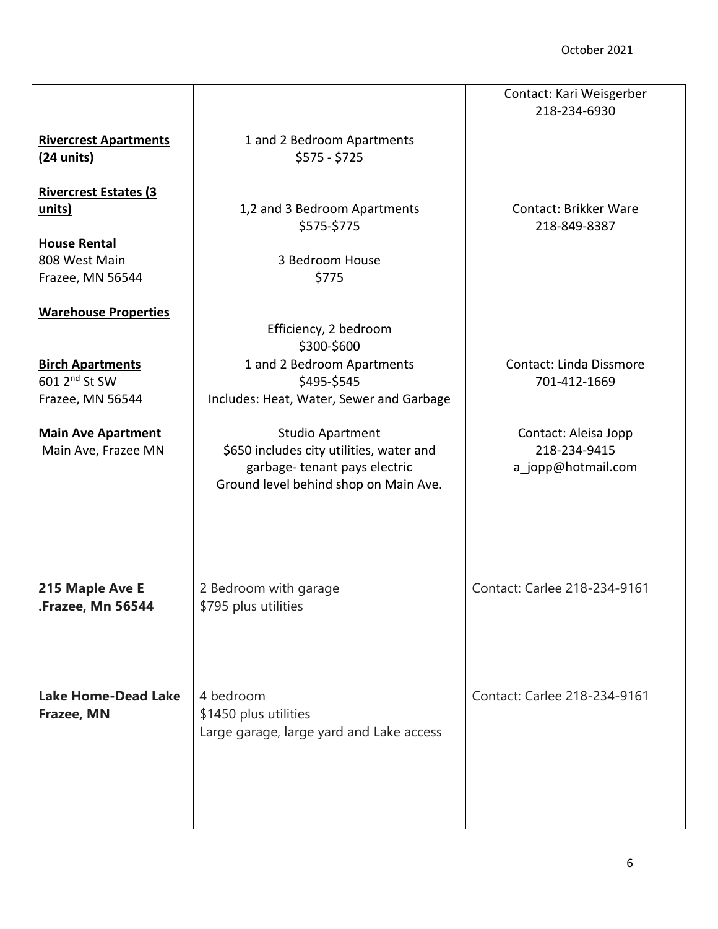|                               |                                          | Contact: Kari Weisgerber<br>218-234-6930 |
|-------------------------------|------------------------------------------|------------------------------------------|
| <b>Rivercrest Apartments</b>  | 1 and 2 Bedroom Apartments               |                                          |
| $(24 \text{ units})$          | $$575 - $725$                            |                                          |
|                               |                                          |                                          |
|                               |                                          |                                          |
| <b>Rivercrest Estates (3)</b> |                                          |                                          |
| <u>units)</u>                 | 1,2 and 3 Bedroom Apartments             | <b>Contact: Brikker Ware</b>             |
|                               | \$575-\$775                              | 218-849-8387                             |
| <b>House Rental</b>           |                                          |                                          |
| 808 West Main                 | 3 Bedroom House                          |                                          |
| Frazee, MN 56544              | \$775                                    |                                          |
|                               |                                          |                                          |
| <b>Warehouse Properties</b>   |                                          |                                          |
|                               |                                          |                                          |
|                               | Efficiency, 2 bedroom                    |                                          |
|                               | \$300-\$600                              |                                          |
| <b>Birch Apartments</b>       | 1 and 2 Bedroom Apartments               | <b>Contact: Linda Dissmore</b>           |
| 601 2 <sup>nd</sup> St SW     | \$495-\$545                              | 701-412-1669                             |
| Frazee, MN 56544              | Includes: Heat, Water, Sewer and Garbage |                                          |
|                               |                                          |                                          |
| <b>Main Ave Apartment</b>     | Studio Apartment                         | Contact: Aleisa Jopp                     |
| Main Ave, Frazee MN           | \$650 includes city utilities, water and | 218-234-9415                             |
|                               | garbage-tenant pays electric             | a_jopp@hotmail.com                       |
|                               |                                          |                                          |
|                               | Ground level behind shop on Main Ave.    |                                          |
|                               |                                          |                                          |
|                               |                                          |                                          |
|                               |                                          |                                          |
|                               |                                          |                                          |
|                               |                                          |                                          |
| 215 Maple Ave E               | 2 Bedroom with garage                    | Contact: Carlee 218-234-9161             |
| <b>Frazee, Mn 56544.</b>      | \$795 plus utilities                     |                                          |
|                               |                                          |                                          |
|                               |                                          |                                          |
|                               |                                          |                                          |
|                               |                                          |                                          |
|                               |                                          |                                          |
| <b>Lake Home-Dead Lake</b>    | 4 bedroom                                | Contact: Carlee 218-234-9161             |
| Frazee, MN                    | \$1450 plus utilities                    |                                          |
|                               | Large garage, large yard and Lake access |                                          |
|                               |                                          |                                          |
|                               |                                          |                                          |
|                               |                                          |                                          |
|                               |                                          |                                          |
|                               |                                          |                                          |
|                               |                                          |                                          |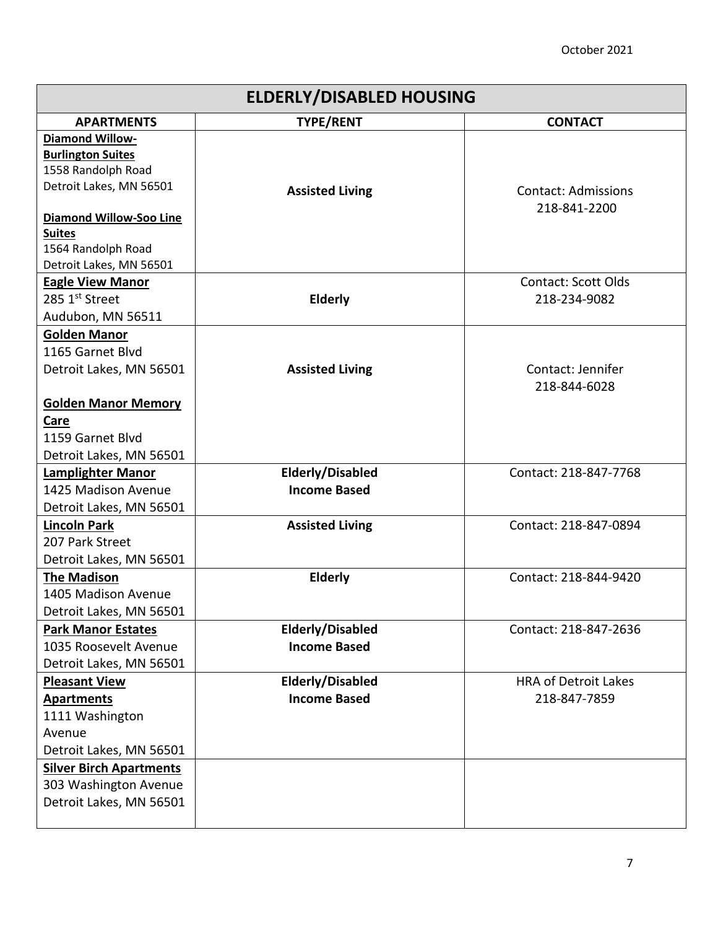## October 2021

| <b>ELDERLY/DISABLED HOUSING</b> |                         |                             |  |
|---------------------------------|-------------------------|-----------------------------|--|
| <b>APARTMENTS</b>               | <b>TYPE/RENT</b>        | <b>CONTACT</b>              |  |
| <b>Diamond Willow-</b>          |                         |                             |  |
| <b>Burlington Suites</b>        |                         |                             |  |
| 1558 Randolph Road              |                         |                             |  |
| Detroit Lakes, MN 56501         | <b>Assisted Living</b>  | <b>Contact: Admissions</b>  |  |
| <b>Diamond Willow-Soo Line</b>  |                         | 218-841-2200                |  |
| <b>Suites</b>                   |                         |                             |  |
| 1564 Randolph Road              |                         |                             |  |
| Detroit Lakes, MN 56501         |                         |                             |  |
| <b>Eagle View Manor</b>         |                         | <b>Contact: Scott Olds</b>  |  |
| 285 1st Street                  | <b>Elderly</b>          | 218-234-9082                |  |
| Audubon, MN 56511               |                         |                             |  |
| <b>Golden Manor</b>             |                         |                             |  |
| 1165 Garnet Blvd                |                         |                             |  |
| Detroit Lakes, MN 56501         | <b>Assisted Living</b>  | Contact: Jennifer           |  |
|                                 |                         | 218-844-6028                |  |
| <b>Golden Manor Memory</b>      |                         |                             |  |
| Care                            |                         |                             |  |
| 1159 Garnet Blvd                |                         |                             |  |
| Detroit Lakes, MN 56501         |                         |                             |  |
| <b>Lamplighter Manor</b>        | <b>Elderly/Disabled</b> | Contact: 218-847-7768       |  |
| 1425 Madison Avenue             | <b>Income Based</b>     |                             |  |
| Detroit Lakes, MN 56501         |                         |                             |  |
| <b>Lincoln Park</b>             | <b>Assisted Living</b>  | Contact: 218-847-0894       |  |
| 207 Park Street                 |                         |                             |  |
| Detroit Lakes, MN 56501         |                         |                             |  |
| <b>The Madison</b>              | <b>Elderly</b>          | Contact: 218-844-9420       |  |
| 1405 Madison Avenue             |                         |                             |  |
| Detroit Lakes, MN 56501         |                         |                             |  |
| <b>Park Manor Estates</b>       | <b>Elderly/Disabled</b> | Contact: 218-847-2636       |  |
| 1035 Roosevelt Avenue           | <b>Income Based</b>     |                             |  |
| Detroit Lakes, MN 56501         |                         |                             |  |
| <b>Pleasant View</b>            | Elderly/Disabled        | <b>HRA of Detroit Lakes</b> |  |
| <b>Apartments</b>               | <b>Income Based</b>     | 218-847-7859                |  |
| 1111 Washington                 |                         |                             |  |
| Avenue                          |                         |                             |  |
| Detroit Lakes, MN 56501         |                         |                             |  |
| <b>Silver Birch Apartments</b>  |                         |                             |  |
| 303 Washington Avenue           |                         |                             |  |
| Detroit Lakes, MN 56501         |                         |                             |  |
|                                 |                         |                             |  |